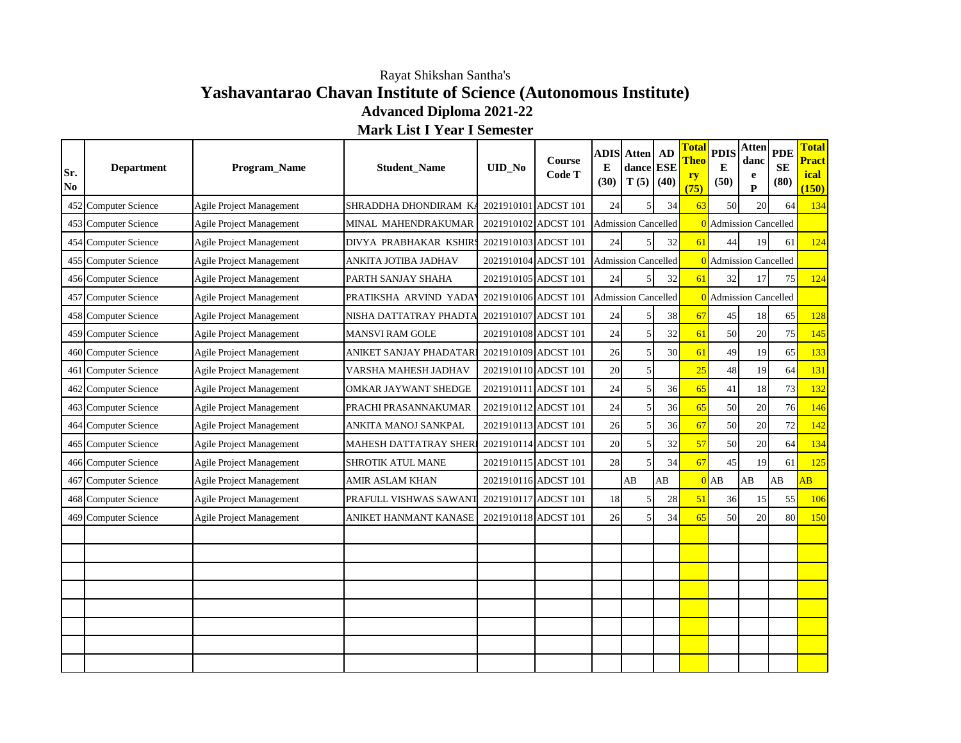## **Yashavantarao Chavan Institute of Science (Autonomous Institute) Advanced Diploma 2021-22** Rayat Shikshan Santha's

**Mark List I Year I Semester**

| Sr.<br>No | <b>Department</b>       | Program_Name                    | <b>Student_Name</b>      | <b>UID_No</b>        | Course<br>Code T     | E<br>(30) | <b>ADIS</b> Atten   AD<br>dance ESE<br>$T(5)$ (40) |    | <b>Total</b><br><b>Theo</b><br>ry<br>(75) | <b>PDIS</b><br>E<br>(50)     | <b>Atten</b><br>danc<br>e<br>P | <b>PDE</b><br><b>SE</b><br>(80) | <b>Total</b><br><b>Pract</b><br>ical<br>(150) |
|-----------|-------------------------|---------------------------------|--------------------------|----------------------|----------------------|-----------|----------------------------------------------------|----|-------------------------------------------|------------------------------|--------------------------------|---------------------------------|-----------------------------------------------|
|           | 452 Computer Science    | Agile Project Management        | SHRADDHA DHONDIRAM K     | 2021910101 ADCST 101 |                      | 24        | 5                                                  | 34 | 63                                        | 50                           | 20                             | 64                              | 134                                           |
|           | 453 Computer Science    | <b>Agile Project Management</b> | MINAL MAHENDRAKUMAR      | 2021910102 ADCST 101 |                      |           | <b>Admission Cancelled</b>                         |    |                                           | 0 Admission Cancelled        |                                |                                 |                                               |
|           | 454 Computer Science    | Agile Project Management        | DIVYA PRABHAKAR KSHIR!   | 2021910103 ADCST 101 |                      | 24        | 5                                                  | 32 | 61                                        | 44                           | 19                             | 61                              | 124                                           |
|           | 455 Computer Science    | <b>Agile Project Management</b> | ANKITA JOTIBA JADHAV     |                      | 2021910104 ADCST 101 |           | <b>Admission Cancelled</b>                         |    |                                           | 0 Admission Cancelled        |                                |                                 |                                               |
|           | 456 Computer Science    | Agile Project Management        | PARTH SANJAY SHAHA       | 2021910105 ADCST 101 |                      | 24        |                                                    | 32 | 61                                        | 32                           | 17                             | 75                              | 124                                           |
|           | 457 Computer Science    | <b>Agile Project Management</b> | PRATIKSHA ARVIND YADA    | 2021910106 ADCST 101 |                      |           | <b>Admission Cancelled</b>                         |    |                                           | <b>0</b> Admission Cancelled |                                |                                 |                                               |
|           | 458 Computer Science    | Agile Project Management        | NISHA DATTATRAY PHADTA   | 2021910107 ADCST 101 |                      | 24        |                                                    | 38 | 67                                        | 45                           | 18                             | 65                              | 128                                           |
|           | 459 Computer Science    | Agile Project Management        | MANSVI RAM GOLE          | 2021910108 ADCST 101 |                      | 24        | 5                                                  | 32 | 61                                        | 50                           | 20                             | 75                              | 145                                           |
|           | 460 Computer Science    | Agile Project Management        | ANIKET SANJAY PHADATAR   | 2021910109 ADCST 101 |                      | 26        | 5 <sup>1</sup>                                     | 30 | 61                                        | 49                           | 19                             | 65                              | 133                                           |
|           | 461 Computer Science    | Agile Project Management        | VARSHA MAHESH JADHAV     | 2021910110 ADCST 101 |                      | 20        | $\mathfrak{S}$                                     |    | 25                                        | 48                           | 19                             | 64                              | 131                                           |
| 462       | Computer Science        | <b>Agile Project Management</b> | OMKAR JAYWANT SHEDGE     | 2021910111 ADCST 101 |                      | 24        | 5                                                  | 36 | 65                                        | 41                           | 18                             | 73                              | 132                                           |
|           | 463 Computer Science    | Agile Project Management        | PRACHI PRASANNAKUMAR     | 2021910112 ADCST 101 |                      | 24        | 5                                                  | 36 | 65                                        | 50                           | 20                             | 76                              | 146                                           |
| 464       | <b>Computer Science</b> | Agile Project Management        | ANKITA MANOJ SANKPAL     | 2021910113 ADCST 101 |                      | 26        | 5 <sup>1</sup>                                     | 36 | 67                                        | 50                           | 20                             | 72                              | 142                                           |
|           | 465 Computer Science    | <b>Agile Project Management</b> | MAHESH DATTATRAY SHER    | 2021910114 ADCST 101 |                      | 20        | 5                                                  | 32 | 57                                        | 50                           | 20                             | 64                              | 134                                           |
|           | 466 Computer Science    | Agile Project Management        | <b>SHROTIK ATUL MANE</b> | 2021910115 ADCST 101 |                      | 28        | 5                                                  | 34 | 67                                        | 45                           | 19                             | 61                              | 125                                           |
|           | 467 Computer Science    | Agile Project Management        | AMIR ASLAM KHAN          |                      | 2021910116 ADCST 101 |           | AB                                                 | AB | $\Omega$                                  | AB                           | AB                             | AB                              | $\overline{AB}$                               |
|           | 468 Computer Science    | Agile Project Management        | PRAFULL VISHWAS SAWANT   | 2021910117 ADCST 101 |                      | 18        |                                                    | 28 | 51                                        | 36                           | 15                             | 55                              | 106                                           |
| 469       | Computer Science        | <b>Agile Project Management</b> | ANIKET HANMANT KANASE    | 2021910118 ADCST 101 |                      | 26        |                                                    | 34 | 65                                        | 50                           | 20                             | 80                              | 150                                           |
|           |                         |                                 |                          |                      |                      |           |                                                    |    |                                           |                              |                                |                                 |                                               |
|           |                         |                                 |                          |                      |                      |           |                                                    |    |                                           |                              |                                |                                 |                                               |
|           |                         |                                 |                          |                      |                      |           |                                                    |    |                                           |                              |                                |                                 |                                               |
|           |                         |                                 |                          |                      |                      |           |                                                    |    |                                           |                              |                                |                                 |                                               |
|           |                         |                                 |                          |                      |                      |           |                                                    |    |                                           |                              |                                |                                 |                                               |
|           |                         |                                 |                          |                      |                      |           |                                                    |    |                                           |                              |                                |                                 |                                               |
|           |                         |                                 |                          |                      |                      |           |                                                    |    |                                           |                              |                                |                                 |                                               |
|           |                         |                                 |                          |                      |                      |           |                                                    |    |                                           |                              |                                |                                 |                                               |